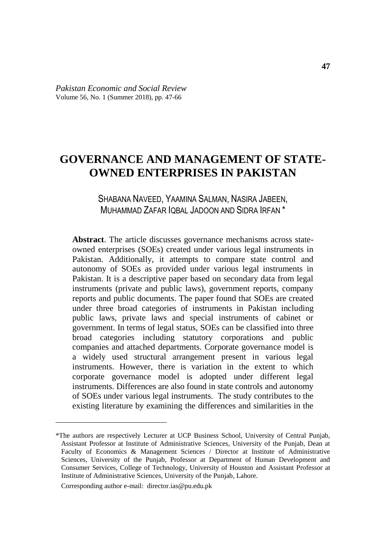# **GOVERNANCE AND MANAGEMENT OF STATE-OWNED ENTERPRISES IN PAKISTAN**

# SHABANA NAVEED, YAAMINA SALMAN, NASIRA JABEEN, MUHAMMAD ZAFAR IQBAL JADOON AND SIDRA IRFAN \*

**Abstract**. The article discusses governance mechanisms across stateowned enterprises (SOEs) created under various legal instruments in Pakistan. Additionally, it attempts to compare state control and autonomy of SOEs as provided under various legal instruments in Pakistan. It is a descriptive paper based on secondary data from legal instruments (private and public laws), government reports, company reports and public documents. The paper found that SOEs are created under three broad categories of instruments in Pakistan including public laws, private laws and special instruments of cabinet or government. In terms of legal status, SOEs can be classified into three broad categories including statutory corporations and public companies and attached departments. Corporate governance model is a widely used structural arrangement present in various legal instruments. However, there is variation in the extent to which corporate governance model is adopted under different legal instruments. Differences are also found in state controls and autonomy of SOEs under various legal instruments. The study contributes to the existing literature by examining the differences and similarities in the

Corresponding author e-mail: director.ias@pu.edu.pk

 $\overline{a}$ 

<sup>\*</sup>The authors are respectively Lecturer at UCP Business School, University of Central Punjab, Assistant Professor at Institute of Administrative Sciences, University of the Punjab, Dean at Faculty of Economics & Management Sciences / Director at Institute of Administrative Sciences, University of the Punjab, Professor at Department of Human Development and Consumer Services, College of Technology, University of Houston and Assistant Professor at Institute of Administrative Sciences, University of the Punjab, Lahore.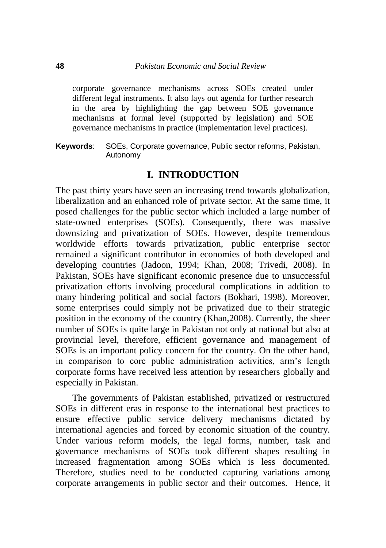corporate governance mechanisms across SOEs created under different legal instruments. It also lays out agenda for further research in the area by highlighting the gap between SOE governance mechanisms at formal level (supported by legislation) and SOE governance mechanisms in practice (implementation level practices).

**Keywords**: SOEs, Corporate governance, Public sector reforms, Pakistan, Autonomy

### **I. INTRODUCTION**

The past thirty years have seen an increasing trend towards globalization, liberalization and an enhanced role of private sector. At the same time, it posed challenges for the public sector which included a large number of state-owned enterprises (SOEs). Consequently, there was massive downsizing and privatization of SOEs. However, despite tremendous worldwide efforts towards privatization, public enterprise sector remained a significant contributor in economies of both developed and developing countries (Jadoon, 1994; Khan, 2008; Trivedi, 2008). In Pakistan, SOEs have significant economic presence due to unsuccessful privatization efforts involving procedural complications in addition to many hindering political and social factors (Bokhari, 1998). Moreover, some enterprises could simply not be privatized due to their strategic position in the economy of the country (Khan,2008). Currently, the sheer number of SOEs is quite large in Pakistan not only at national but also at provincial level, therefore, efficient governance and management of SOEs is an important policy concern for the country. On the other hand, in comparison to core public administration activities, arm's length corporate forms have received less attention by researchers globally and especially in Pakistan.

The governments of Pakistan established, privatized or restructured SOEs in different eras in response to the international best practices to ensure effective public service delivery mechanisms dictated by international agencies and forced by economic situation of the country. Under various reform models, the legal forms, number, task and governance mechanisms of SOEs took different shapes resulting in increased fragmentation among SOEs which is less documented. Therefore, studies need to be conducted capturing variations among corporate arrangements in public sector and their outcomes. Hence, it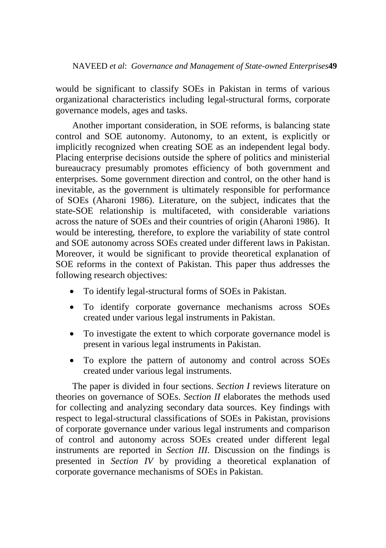would be significant to classify SOEs in Pakistan in terms of various organizational characteristics including legal-structural forms, corporate governance models, ages and tasks.

Another important consideration, in SOE reforms, is balancing state control and SOE autonomy. Autonomy, to an extent, is explicitly or implicitly recognized when creating SOE as an independent legal body. Placing enterprise decisions outside the sphere of politics and ministerial bureaucracy presumably promotes efficiency of both government and enterprises. Some government direction and control, on the other hand is inevitable, as the government is ultimately responsible for performance of SOEs (Aharoni 1986). Literature, on the subject, indicates that the state-SOE relationship is multifaceted, with considerable variations across the nature of SOEs and their countries of origin (Aharoni 1986). It would be interesting, therefore, to explore the variability of state control and SOE autonomy across SOEs created under different laws in Pakistan. Moreover, it would be significant to provide theoretical explanation of SOE reforms in the context of Pakistan. This paper thus addresses the following research objectives:

- To identify legal-structural forms of SOEs in Pakistan.
- To identify corporate governance mechanisms across SOEs created under various legal instruments in Pakistan.
- To investigate the extent to which corporate governance model is present in various legal instruments in Pakistan.
- To explore the pattern of autonomy and control across SOEs created under various legal instruments.

The paper is divided in four sections. *Section I* reviews literature on theories on governance of SOEs. *Section II* elaborates the methods used for collecting and analyzing secondary data sources. Key findings with respect to legal-structural classifications of SOEs in Pakistan, provisions of corporate governance under various legal instruments and comparison of control and autonomy across SOEs created under different legal instruments are reported in *Section III*. Discussion on the findings is presented in *Section IV* by providing a theoretical explanation of corporate governance mechanisms of SOEs in Pakistan.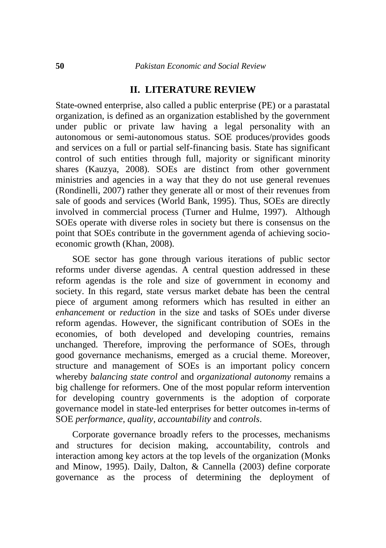#### **II. LITERATURE REVIEW**

State-owned enterprise, also called a public enterprise (PE) or a parastatal organization, is defined as an organization established by the government under public or private law having a legal personality with an autonomous or semi-autonomous status. SOE produces/provides goods and services on a full or partial self-financing basis. State has significant control of such entities through full, majority or significant minority shares (Kauzya, 2008). SOEs are distinct from other government ministries and agencies in a way that they do not use general revenues (Rondinelli, 2007) rather they generate all or most of their revenues from sale of goods and services (World Bank, 1995). Thus, SOEs are directly involved in commercial process (Turner and Hulme, 1997). Although SOEs operate with diverse roles in society but there is consensus on the point that SOEs contribute in the government agenda of achieving socioeconomic growth (Khan, 2008).

SOE sector has gone through various iterations of public sector reforms under diverse agendas. A central question addressed in these reform agendas is the role and size of government in economy and society. In this regard, state versus market debate has been the central piece of argument among reformers which has resulted in either an *enhancement* or *reduction* in the size and tasks of SOEs under diverse reform agendas. However, the significant contribution of SOEs in the economies, of both developed and developing countries, remains unchanged. Therefore, improving the performance of SOEs, through good governance mechanisms, emerged as a crucial theme. Moreover, structure and management of SOEs is an important policy concern whereby *balancing state control* and *organizational autonomy* remains a big challenge for reformers. One of the most popular reform intervention for developing country governments is the adoption of corporate governance model in state-led enterprises for better outcomes in-terms of SOE *performance, quality, accountability* and *controls*.

Corporate governance broadly refers to the processes, mechanisms and structures for decision making, accountability, controls and interaction among key actors at the top levels of the organization (Monks and Minow, 1995). Daily, Dalton, & Cannella (2003) define corporate governance as the process of determining the deployment of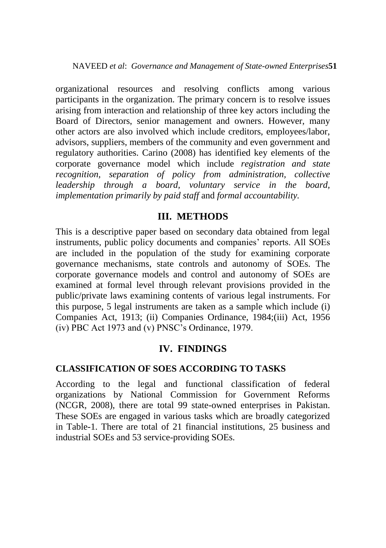organizational resources and resolving conflicts among various participants in the organization. The primary concern is to resolve issues arising from interaction and relationship of three key actors including the Board of Directors, senior management and owners. However, many other actors are also involved which include creditors, employees/labor, advisors, suppliers, members of the community and even government and regulatory authorities. Carino (2008) has identified key elements of the corporate governance model which include *registration and state recognition, separation of policy from administration, collective leadership through a board, voluntary service in the board, implementation primarily by paid staff* and *formal accountability.*

# **III. METHODS**

This is a descriptive paper based on secondary data obtained from legal instruments, public policy documents and companies' reports. All SOEs are included in the population of the study for examining corporate governance mechanisms, state controls and autonomy of SOEs. The corporate governance models and control and autonomy of SOEs are examined at formal level through relevant provisions provided in the public/private laws examining contents of various legal instruments. For this purpose, 5 legal instruments are taken as a sample which include (i) Companies Act, 1913; (ii) Companies Ordinance, 1984;(iii) Act, 1956 (iv) PBC Act 1973 and (v) PNSC's Ordinance, 1979.

# **IV. FINDINGS**

# **CLASSIFICATION OF SOES ACCORDING TO TASKS**

According to the legal and functional classification of federal organizations by National Commission for Government Reforms (NCGR, 2008), there are total 99 state-owned enterprises in Pakistan. These SOEs are engaged in various tasks which are broadly categorized in Table-1. There are total of 21 financial institutions, 25 business and industrial SOEs and 53 service-providing SOEs.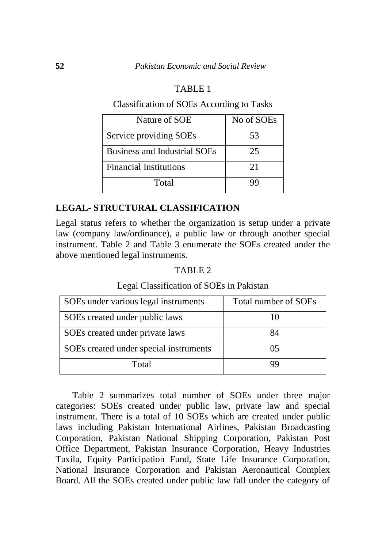#### TABLE 1

#### Classification of SOEs According to Tasks

| Nature of SOE                       | No of SOEs |
|-------------------------------------|------------|
| Service providing SOEs              | 53         |
| <b>Business and Industrial SOEs</b> | 25         |
| <b>Financial Institutions</b>       | 21         |
| Total                               | QC         |

#### **LEGAL- STRUCTURAL CLASSIFICATION**

Legal status refers to whether the organization is setup under a private law (company law/ordinance), a public law or through another special instrument. Table 2 and Table 3 enumerate the SOEs created under the above mentioned legal instruments.

#### TABLE 2

#### Legal Classification of SOEs in Pakistan

| SOEs under various legal instruments   | Total number of SOEs |
|----------------------------------------|----------------------|
| SOEs created under public laws         |                      |
| SOEs created under private laws        | 84                   |
| SOEs created under special instruments |                      |
| Total                                  | uu                   |

Table 2 summarizes total number of SOEs under three major categories: SOEs created under public law, private law and special instrument. There is a total of 10 SOEs which are created under public laws including Pakistan International Airlines, Pakistan Broadcasting Corporation, Pakistan National Shipping Corporation, Pakistan Post Office Department, Pakistan Insurance Corporation, Heavy Industries Taxila, Equity Participation Fund, State Life Insurance Corporation, National Insurance Corporation and Pakistan Aeronautical Complex Board. All the SOEs created under public law fall under the category of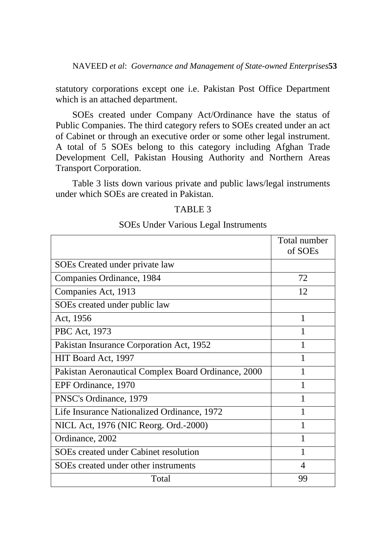statutory corporations except one i.e. Pakistan Post Office Department which is an attached department.

SOEs created under Company Act/Ordinance have the status of Public Companies. The third category refers to SOEs created under an act of Cabinet or through an executive order or some other legal instrument. A total of 5 SOEs belong to this category including Afghan Trade Development Cell, Pakistan Housing Authority and Northern Areas Transport Corporation.

Table 3 lists down various private and public laws/legal instruments under which SOEs are created in Pakistan.

#### TABLE 3

#### SOEs Under Various Legal Instruments

|                                                     | Total number<br>of SOEs |
|-----------------------------------------------------|-------------------------|
| SOEs Created under private law                      |                         |
| Companies Ordinance, 1984                           | 72                      |
| Companies Act, 1913                                 | 12                      |
| SOEs created under public law                       |                         |
| Act, 1956                                           | 1                       |
| PBC Act, 1973                                       | 1                       |
| Pakistan Insurance Corporation Act, 1952            | 1                       |
| HIT Board Act, 1997                                 | 1                       |
| Pakistan Aeronautical Complex Board Ordinance, 2000 |                         |
| EPF Ordinance, 1970                                 |                         |
| PNSC's Ordinance, 1979                              |                         |
| Life Insurance Nationalized Ordinance, 1972         |                         |
| NICL Act, 1976 (NIC Reorg. Ord.-2000)               | 1                       |
| Ordinance, 2002                                     | 1                       |
| SOEs created under Cabinet resolution               | 1                       |
| SOEs created under other instruments                | 4                       |
| Total                                               | 99                      |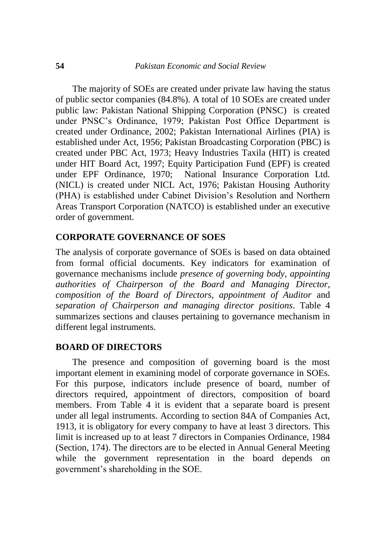The majority of SOEs are created under private law having the status of public sector companies (84.8%). A total of 10 SOEs are created under public law: Pakistan National Shipping Corporation (PNSC) is created under PNSC's Ordinance, 1979; Pakistan Post Office Department is created under Ordinance, 2002; Pakistan International Airlines (PIA) is established under Act, 1956; Pakistan Broadcasting Corporation (PBC) is created under PBC Act, 1973; Heavy Industries Taxila (HIT) is created under HIT Board Act, 1997; Equity Participation Fund (EPF) is created under EPF Ordinance, 1970; National Insurance Corporation Ltd. (NICL) is created under NICL Act, 1976; Pakistan Housing Authority (PHA) is established under Cabinet Division's Resolution and Northern Areas Transport Corporation (NATCO) is established under an executive order of government.

#### **CORPORATE GOVERNANCE OF SOES**

The analysis of corporate governance of SOEs is based on data obtained from formal official documents. Key indicators for examination of governance mechanisms include *presence of governing body*, *appointing authorities of Chairperson of the Board and Managing Director*, *composition of the Board of Directors*, *appointment of Auditor* and *separation of Chairperson and managing director positions*. Table 4 summarizes sections and clauses pertaining to governance mechanism in different legal instruments.

#### **BOARD OF DIRECTORS**

The presence and composition of governing board is the most important element in examining model of corporate governance in SOEs. For this purpose, indicators include presence of board, number of directors required, appointment of directors, composition of board members. From Table 4 it is evident that a separate board is present under all legal instruments. According to section 84A of Companies Act, 1913, it is obligatory for every company to have at least 3 directors. This limit is increased up to at least 7 directors in Companies Ordinance, 1984 (Section, 174). The directors are to be elected in Annual General Meeting while the government representation in the board depends on government's shareholding in the SOE.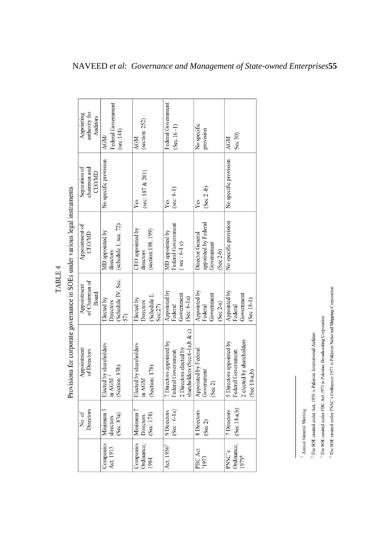| authority for<br>Appointing     | Auditors      | <b>AGM</b>              | Federal Government  | sec:144                   | <b>AGM</b>              | (section: 252)      |                    |         | Federal Government       | $(Sec.16-1)$        |                        |                               | No specific          | provision            |            |             | <b>AGM</b>               | Sec 30)             |                           |                |
|---------------------------------|---------------|-------------------------|---------------------|---------------------------|-------------------------|---------------------|--------------------|---------|--------------------------|---------------------|------------------------|-------------------------------|----------------------|----------------------|------------|-------------|--------------------------|---------------------|---------------------------|----------------|
| Separation of<br>chairman and   | <b>CEO/MD</b> | No specific provision   |                     |                           | Yes                     | (sec: $187 & 201$ ) |                    |         | Yes                      | $(\sec 8-1)$        |                        |                               | Yes                  | $($ Sec $2-b)$       |            |             | No specific provision    |                     |                           |                |
| Appointment of<br><b>CEO/MD</b> |               | MD appointed by         | directors           | (schedule 1, sec. 72)     | CEO appointed by        | directors           | (section:198, 199) |         | MD appointed by          | Federal Government  | $($ sec: $6-1$ c $)$   |                               | Director General     | appointed by Federal | Government | $(Sec 2-b)$ | No specific provision    |                     |                           |                |
| of Chairman of<br>Appointment   | Board         | Elected by              | Directors           | (Schedule IV, Sec.<br>57) | Elected by              | Directors           | (Schedule I;       | Sec:27) | Appointed by             | Federal             | Government             | (Sec: 6-1a)                   | Appointed by         | Federal              | Government | $(Sec 2-a)$ | Appointed by             | Federal             | Government                | $(Sec 18-1)$   |
| Appointment<br>of Directors     |               | Elected by shareholders | in AGM <sup>1</sup> | (Section: 83b)            | Elected by shareholders | in AGM              | (Section: 178)     |         | 7 Directors appointed by | Federal Government; | 2 Directors elected by | shareholders (Sec:6-1a,b & c) | Appointed by Federal | Government           | (Sec 2)    |             | 5 Directors appointed by | Federal Government; | 2 elected by shareholders | $(Sec 14-a,b)$ |
| Directors<br>No. of             |               | Minimum 3               | directors           | (Sec: 83a)                | Minimum <sub>7</sub>    | Directors           | (Sec: 174)         |         | 9 Directors              | $(Sec: 6-1a)$       |                        |                               | 8 Directors          | (Sec 2)              |            |             | 7 Directors              | $(Sec 14-a,b)$      |                           |                |
|                                 |               | Companies               | Act, 1913           |                           | Companies               | Ordinance,          | 1984               |         | Act, 1956 <sup>2</sup>   |                     |                        |                               | PBC Act              | <sup>3</sup> 1973    |            |             | PNSC's                   | Ordinance,          | 19794                     |                |

Provisions for corporate governance in SOEs under various legal instruments

TABLE 4

<sup>1</sup> Annual General Meeting

<sup>2</sup> The SOE created under Act, 1956 is Pakistan International Airlines

<sup>3</sup> The SOE created under PBC Act 1973 is Pakistan Broadcasting Corporation

<sup>1</sup> The SOE created under PNSC's Ordinance 1973 is Pakistan Natio nal Shipping Corporation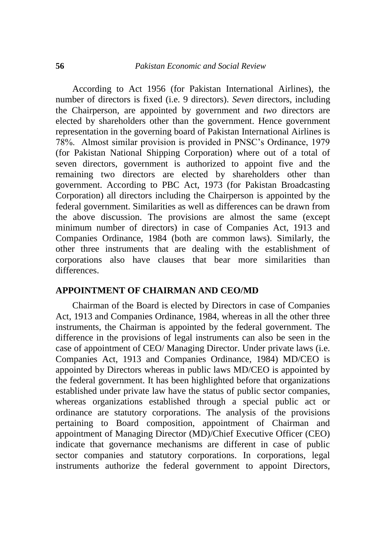According to Act 1956 (for Pakistan International Airlines), the number of directors is fixed (i.e. 9 directors). *Seven* directors, including the Chairperson, are appointed by government and *two* directors are elected by shareholders other than the government. Hence government representation in the governing board of Pakistan International Airlines is 78%. Almost similar provision is provided in PNSC's Ordinance, 1979 (for Pakistan National Shipping Corporation) where out of a total of seven directors, government is authorized to appoint five and the remaining two directors are elected by shareholders other than government. According to PBC Act, 1973 (for Pakistan Broadcasting Corporation) all directors including the Chairperson is appointed by the federal government. Similarities as well as differences can be drawn from the above discussion. The provisions are almost the same (except minimum number of directors) in case of Companies Act, 1913 and Companies Ordinance, 1984 (both are common laws). Similarly, the other three instruments that are dealing with the establishment of corporations also have clauses that bear more similarities than differences.

# **APPOINTMENT OF CHAIRMAN AND CEO/MD**

Chairman of the Board is elected by Directors in case of Companies Act, 1913 and Companies Ordinance, 1984, whereas in all the other three instruments, the Chairman is appointed by the federal government. The difference in the provisions of legal instruments can also be seen in the case of appointment of CEO/ Managing Director. Under private laws (i.e. Companies Act, 1913 and Companies Ordinance, 1984) MD/CEO is appointed by Directors whereas in public laws MD/CEO is appointed by the federal government. It has been highlighted before that organizations established under private law have the status of public sector companies, whereas organizations established through a special public act or ordinance are statutory corporations. The analysis of the provisions pertaining to Board composition, appointment of Chairman and appointment of Managing Director (MD)/Chief Executive Officer (CEO) indicate that governance mechanisms are different in case of public sector companies and statutory corporations. In corporations, legal instruments authorize the federal government to appoint Directors,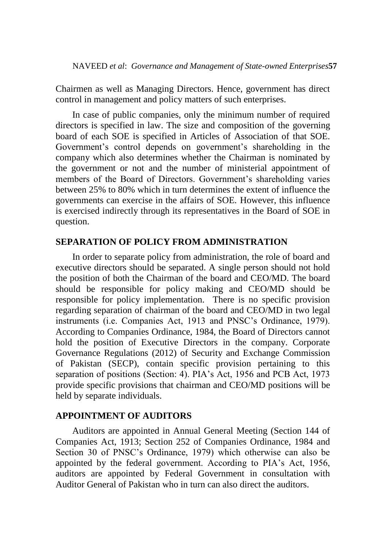Chairmen as well as Managing Directors. Hence, government has direct control in management and policy matters of such enterprises.

In case of public companies, only the minimum number of required directors is specified in law. The size and composition of the governing board of each SOE is specified in Articles of Association of that SOE. Government's control depends on government's shareholding in the company which also determines whether the Chairman is nominated by the government or not and the number of ministerial appointment of members of the Board of Directors. Government's shareholding varies between 25% to 80% which in turn determines the extent of influence the governments can exercise in the affairs of SOE. However, this influence is exercised indirectly through its representatives in the Board of SOE in question.

#### **SEPARATION OF POLICY FROM ADMINISTRATION**

In order to separate policy from administration, the role of board and executive directors should be separated. A single person should not hold the position of both the Chairman of the board and CEO/MD. The board should be responsible for policy making and CEO/MD should be responsible for policy implementation. There is no specific provision regarding separation of chairman of the board and CEO/MD in two legal instruments (i.e. Companies Act, 1913 and PNSC's Ordinance, 1979). According to Companies Ordinance, 1984, the Board of Directors cannot hold the position of Executive Directors in the company. Corporate Governance Regulations (2012) of Security and Exchange Commission of Pakistan (SECP), contain specific provision pertaining to this separation of positions (Section: 4). PIA's Act, 1956 and PCB Act, 1973 provide specific provisions that chairman and CEO/MD positions will be held by separate individuals.

#### **APPOINTMENT OF AUDITORS**

Auditors are appointed in Annual General Meeting (Section 144 of Companies Act, 1913; Section 252 of Companies Ordinance, 1984 and Section 30 of PNSC's Ordinance, 1979) which otherwise can also be appointed by the federal government. According to PIA's Act, 1956, auditors are appointed by Federal Government in consultation with Auditor General of Pakistan who in turn can also direct the auditors.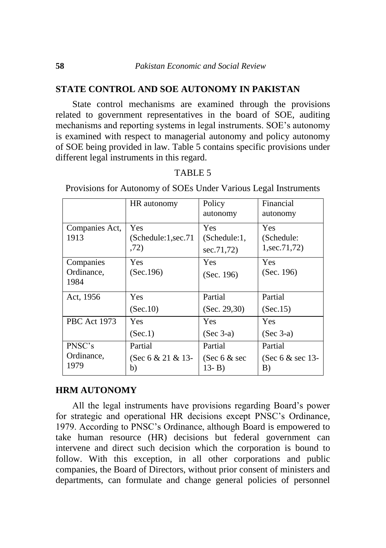#### **STATE CONTROL AND SOE AUTONOMY IN PAKISTAN**

State control mechanisms are examined through the provisions related to government representatives in the board of SOE, auditing mechanisms and reporting systems in legal instruments. SOE's autonomy is examined with respect to managerial autonomy and policy autonomy of SOE being provided in law. Table 5 contains specific provisions under different legal instruments in this regard.

|                                 | HR autonomy                               | Policy<br>autonomy                    | Financial<br>autonomy                |
|---------------------------------|-------------------------------------------|---------------------------------------|--------------------------------------|
| Companies Act,<br>1913          | <b>Yes</b><br>(Schedule:1,sec.71)<br>,72) | Yes<br>(Schedule:1,<br>sec.71,72)     | Yes<br>(Schedule:<br>1, sec. 71, 72) |
| Companies<br>Ordinance,<br>1984 | <b>Yes</b><br>(Sec.196)                   | Yes<br>(Sec. 196)                     | Yes<br>(Sec. 196)                    |
| Act, 1956                       | <b>Yes</b><br>(Sec.10)                    | Partial<br>(Sec. 29, 30)              | Partial<br>(Sec.15)                  |
| <b>PBC</b> Act 1973             | Yes.<br>(Sec.1)                           | Yes<br>$(Sec 3-a)$                    | <b>Yes</b><br>$(Sec 3-a)$            |
| PNSC's<br>Ordinance,<br>1979    | Partial<br>(Sec 6 $& 21 & 13$<br>b)       | Partial<br>(Sec $6 &$ sec<br>$13 - B$ | Partial<br>(Sec $6 &$ sec 13-<br>B)  |

#### TABLE 5

Provisions for Autonomy of SOEs Under Various Legal Instruments

#### **HRM AUTONOMY**

All the legal instruments have provisions regarding Board's power for strategic and operational HR decisions except PNSC's Ordinance, 1979. According to PNSC's Ordinance, although Board is empowered to take human resource (HR) decisions but federal government can intervene and direct such decision which the corporation is bound to follow. With this exception, in all other corporations and public companies, the Board of Directors, without prior consent of ministers and departments, can formulate and change general policies of personnel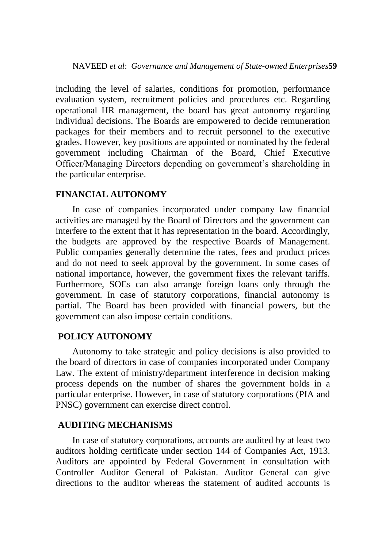including the level of salaries, conditions for promotion, performance evaluation system, recruitment policies and procedures etc. Regarding operational HR management, the board has great autonomy regarding individual decisions. The Boards are empowered to decide remuneration packages for their members and to recruit personnel to the executive grades. However, key positions are appointed or nominated by the federal government including Chairman of the Board, Chief Executive Officer/Managing Directors depending on government's shareholding in the particular enterprise.

# **FINANCIAL AUTONOMY**

In case of companies incorporated under company law financial activities are managed by the Board of Directors and the government can interfere to the extent that it has representation in the board. Accordingly, the budgets are approved by the respective Boards of Management. Public companies generally determine the rates, fees and product prices and do not need to seek approval by the government. In some cases of national importance, however, the government fixes the relevant tariffs. Furthermore, SOEs can also arrange foreign loans only through the government. In case of statutory corporations, financial autonomy is partial. The Board has been provided with financial powers, but the government can also impose certain conditions.

# **POLICY AUTONOMY**

Autonomy to take strategic and policy decisions is also provided to the board of directors in case of companies incorporated under Company Law. The extent of ministry/department interference in decision making process depends on the number of shares the government holds in a particular enterprise. However, in case of statutory corporations (PIA and PNSC) government can exercise direct control.

#### **AUDITING MECHANISMS**

In case of statutory corporations, accounts are audited by at least two auditors holding certificate under section 144 of Companies Act, 1913. Auditors are appointed by Federal Government in consultation with Controller Auditor General of Pakistan. Auditor General can give directions to the auditor whereas the statement of audited accounts is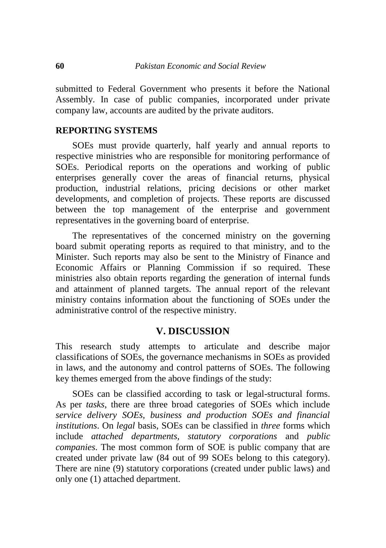submitted to Federal Government who presents it before the National Assembly. In case of public companies, incorporated under private company law, accounts are audited by the private auditors.

### **REPORTING SYSTEMS**

SOEs must provide quarterly, half yearly and annual reports to respective ministries who are responsible for monitoring performance of SOEs. Periodical reports on the operations and working of public enterprises generally cover the areas of financial returns, physical production, industrial relations, pricing decisions or other market developments, and completion of projects. These reports are discussed between the top management of the enterprise and government representatives in the governing board of enterprise.

The representatives of the concerned ministry on the governing board submit operating reports as required to that ministry, and to the Minister. Such reports may also be sent to the Ministry of Finance and Economic Affairs or Planning Commission if so required. These ministries also obtain reports regarding the generation of internal funds and attainment of planned targets. The annual report of the relevant ministry contains information about the functioning of SOEs under the administrative control of the respective ministry.

# **V. DISCUSSION**

This research study attempts to articulate and describe major classifications of SOEs, the governance mechanisms in SOEs as provided in laws, and the autonomy and control patterns of SOEs. The following key themes emerged from the above findings of the study:

SOEs can be classified according to task or legal-structural forms. As per *tasks*, there are three broad categories of SOEs which include *service delivery SOEs, business and production SOEs and financial institutions*. On *legal* basis, SOEs can be classified in *three* forms which include *attached departments, statutory corporations* and *public companies*. The most common form of SOE is public company that are created under private law (84 out of 99 SOEs belong to this category). There are nine (9) statutory corporations (created under public laws) and only one (1) attached department.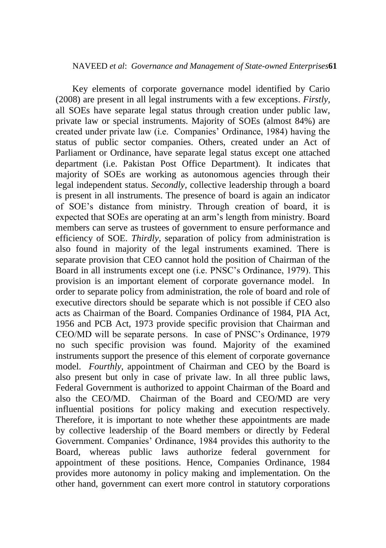Key elements of corporate governance model identified by Cario (2008) are present in all legal instruments with a few exceptions. *Firstly,* all SOEs have separate legal status through creation under public law, private law or special instruments. Majority of SOEs (almost 84%) are created under private law (i.e. Companies' Ordinance, 1984) having the status of public sector companies. Others, created under an Act of Parliament or Ordinance, have separate legal status except one attached department (i.e. Pakistan Post Office Department). It indicates that majority of SOEs are working as autonomous agencies through their legal independent status. *Secondly,* collective leadership through a board is present in all instruments. The presence of board is again an indicator of SOE's distance from ministry. Through creation of board, it is expected that SOEs are operating at an arm's length from ministry. Board members can serve as trustees of government to ensure performance and efficiency of SOE. *Thirdly,* separation of policy from administration is also found in majority of the legal instruments examined. There is separate provision that CEO cannot hold the position of Chairman of the Board in all instruments except one (i.e. PNSC's Ordinance, 1979). This provision is an important element of corporate governance model. In order to separate policy from administration, the role of board and role of executive directors should be separate which is not possible if CEO also acts as Chairman of the Board. Companies Ordinance of 1984, PIA Act, 1956 and PCB Act, 1973 provide specific provision that Chairman and CEO/MD will be separate persons. In case of PNSC's Ordinance, 1979 no such specific provision was found. Majority of the examined instruments support the presence of this element of corporate governance model. *Fourthly*, appointment of Chairman and CEO by the Board is also present but only in case of private law. In all three public laws, Federal Government is authorized to appoint Chairman of the Board and also the CEO/MD. Chairman of the Board and CEO/MD are very influential positions for policy making and execution respectively. Therefore, it is important to note whether these appointments are made by collective leadership of the Board members or directly by Federal Government. Companies' Ordinance, 1984 provides this authority to the Board, whereas public laws authorize federal government for appointment of these positions. Hence, Companies Ordinance, 1984 provides more autonomy in policy making and implementation. On the other hand, government can exert more control in statutory corporations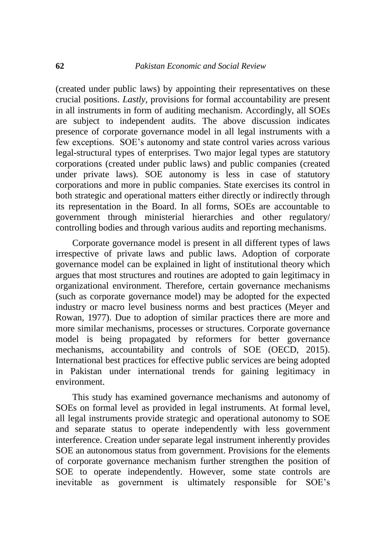(created under public laws) by appointing their representatives on these crucial positions. *Lastly,* provisions for formal accountability are present in all instruments in form of auditing mechanism. Accordingly, all SOEs are subject to independent audits. The above discussion indicates presence of corporate governance model in all legal instruments with a few exceptions. SOE's autonomy and state control varies across various legal-structural types of enterprises. Two major legal types are statutory corporations (created under public laws) and public companies (created under private laws). SOE autonomy is less in case of statutory corporations and more in public companies. State exercises its control in both strategic and operational matters either directly or indirectly through its representation in the Board. In all forms, SOEs are accountable to government through ministerial hierarchies and other regulatory/ controlling bodies and through various audits and reporting mechanisms.

Corporate governance model is present in all different types of laws irrespective of private laws and public laws. Adoption of corporate governance model can be explained in light of institutional theory which argues that most structures and routines are adopted to gain legitimacy in organizational environment. Therefore, certain governance mechanisms (such as corporate governance model) may be adopted for the expected industry or macro level business norms and best practices (Meyer and Rowan, 1977). Due to adoption of similar practices there are more and more similar mechanisms, processes or structures. Corporate governance model is being propagated by reformers for better governance mechanisms, accountability and controls of SOE (OECD, 2015). International best practices for effective public services are being adopted in Pakistan under international trends for gaining legitimacy in environment.

This study has examined governance mechanisms and autonomy of SOEs on formal level as provided in legal instruments. At formal level, all legal instruments provide strategic and operational autonomy to SOE and separate status to operate independently with less government interference. Creation under separate legal instrument inherently provides SOE an autonomous status from government. Provisions for the elements of corporate governance mechanism further strengthen the position of SOE to operate independently. However, some state controls are inevitable as government is ultimately responsible for SOE's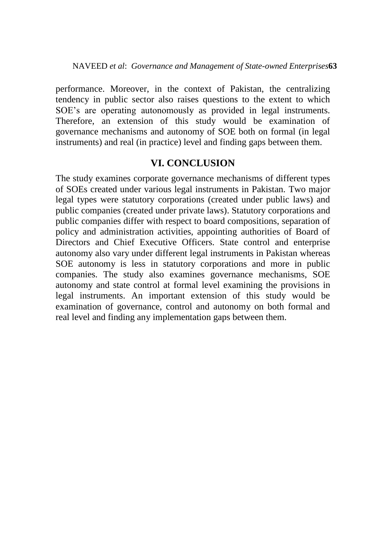performance. Moreover, in the context of Pakistan, the centralizing tendency in public sector also raises questions to the extent to which SOE's are operating autonomously as provided in legal instruments. Therefore, an extension of this study would be examination of governance mechanisms and autonomy of SOE both on formal (in legal instruments) and real (in practice) level and finding gaps between them.

# **VI. CONCLUSION**

The study examines corporate governance mechanisms of different types of SOEs created under various legal instruments in Pakistan. Two major legal types were statutory corporations (created under public laws) and public companies (created under private laws). Statutory corporations and public companies differ with respect to board compositions, separation of policy and administration activities, appointing authorities of Board of Directors and Chief Executive Officers. State control and enterprise autonomy also vary under different legal instruments in Pakistan whereas SOE autonomy is less in statutory corporations and more in public companies. The study also examines governance mechanisms, SOE autonomy and state control at formal level examining the provisions in legal instruments. An important extension of this study would be examination of governance, control and autonomy on both formal and real level and finding any implementation gaps between them.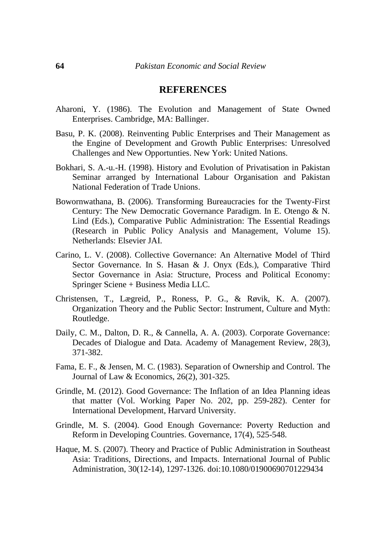#### **REFERENCES**

- Aharoni, Y. (1986). The Evolution and Management of State Owned Enterprises. Cambridge, MA: Ballinger.
- Basu, P. K. (2008). Reinventing Public Enterprises and Their Management as the Engine of Development and Growth Public Enterprises: Unresolved Challenges and New Opportunties. New York: United Nations.
- Bokhari, S. A.-u.-H. (1998). History and Evolution of Privatisation in Pakistan Seminar arranged by International Labour Organisation and Pakistan National Federation of Trade Unions.
- Bowornwathana, B. (2006). Transforming Bureaucracies for the Twenty-First Century: The New Democratic Governance Paradigm. In E. Otengo & N. Lind (Eds.), Comparative Public Administration: The Essential Readings (Research in Public Policy Analysis and Management, Volume 15). Netherlands: Elsevier JAI.
- Carino, L. V. (2008). Collective Governance: An Alternative Model of Third Sector Governance. In S. Hasan & J. Onyx (Eds.), Comparative Third Sector Governance in Asia: Structure, Process and Political Economy: Springer Sciene + Business Media LLC.
- Christensen, T., Lægreid, P., Roness, P. G., & Røvik, K. A. (2007). Organization Theory and the Public Sector: Instrument, Culture and Myth: Routledge.
- Daily, C. M., Dalton, D. R., & Cannella, A. A. (2003). Corporate Governance: Decades of Dialogue and Data. Academy of Management Review, 28(3), 371-382.
- Fama, E. F., & Jensen, M. C. (1983). Separation of Ownership and Control. The Journal of Law & Economics, 26(2), 301-325.
- Grindle, M. (2012). Good Governance: The Inflation of an Idea Planning ideas that matter (Vol. Working Paper No. 202, pp. 259-282). Center for International Development, Harvard University.
- Grindle, M. S. (2004). Good Enough Governance: Poverty Reduction and Reform in Developing Countries. Governance, 17(4), 525-548.
- Haque, M. S. (2007). Theory and Practice of Public Administration in Southeast Asia: Traditions, Directions, and Impacts. International Journal of Public Administration, 30(12-14), 1297-1326. doi:10.1080/01900690701229434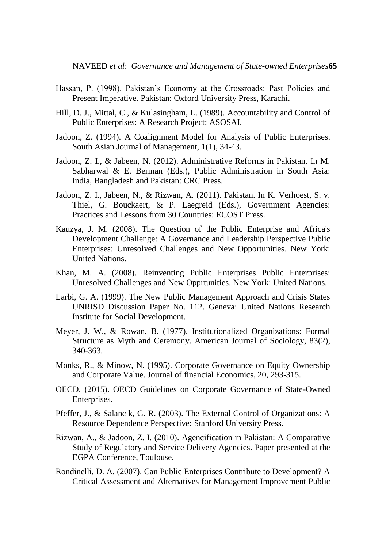- Hassan, P. (1998). Pakistan's Economy at the Crossroads: Past Policies and Present Imperative. Pakistan: Oxford University Press, Karachi.
- Hill, D. J., Mittal, C., & Kulasingham, L. (1989). Accountability and Control of Public Enterprises: A Research Project: ASOSAI.
- Jadoon, Z. (1994). A Coalignment Model for Analysis of Public Enterprises. South Asian Journal of Management, 1(1), 34-43.
- Jadoon, Z. I., & Jabeen, N. (2012). Administrative Reforms in Pakistan. In M. Sabharwal & E. Berman (Eds.), Public Administration in South Asia: India, Bangladesh and Pakistan: CRC Press.
- Jadoon, Z. I., Jabeen, N., & Rizwan, A. (2011). Pakistan. In K. Verhoest, S. v. Thiel, G. Bouckaert, & P. Laegreid (Eds.), Government Agencies: Practices and Lessons from 30 Countries: ECOST Press.
- Kauzya, J. M. (2008). The Question of the Public Enterprise and Africa's Development Challenge: A Governance and Leadership Perspective Public Enterprises: Unresolved Challenges and New Opportunities. New York: United Nations.
- Khan, M. A. (2008). Reinventing Public Enterprises Public Enterprises: Unresolved Challenges and New Opprtunities. New York: United Nations.
- Larbi, G. A. (1999). The New Public Management Approach and Crisis States UNRISD Discussion Paper No. 112. Geneva: United Nations Research Institute for Social Development.
- Meyer, J. W., & Rowan, B. (1977). Institutionalized Organizations: Formal Structure as Myth and Ceremony. American Journal of Sociology, 83(2), 340-363.
- Monks, R., & Minow, N. (1995). Corporate Governance on Equity Ownership and Corporate Value. Journal of financial Economics, 20, 293-315.
- OECD. (2015). OECD Guidelines on Corporate Governance of State-Owned Enterprises.
- Pfeffer, J., & Salancik, G. R. (2003). The External Control of Organizations: A Resource Dependence Perspective: Stanford University Press.
- Rizwan, A., & Jadoon, Z. I. (2010). Agencification in Pakistan: A Comparative Study of Regulatory and Service Delivery Agencies. Paper presented at the EGPA Conference, Toulouse.
- Rondinelli, D. A. (2007). Can Public Enterprises Contribute to Development? A Critical Assessment and Alternatives for Management Improvement Public